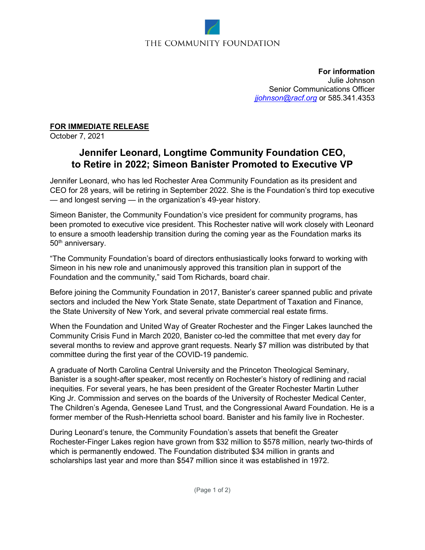# THE COMMUNITY FOUNDATION

**For information** Julie Johnson Senior Communications Officer *[jjohnson@racf.org](mailto:jjohnson@racf.org)* or 585.341.4353

### **FOR IMMEDIATE RELEASE**

October 7, 2021

## **Jennifer Leonard, Longtime Community Foundation CEO, to Retire in 2022; Simeon Banister Promoted to Executive VP**

Jennifer Leonard, who has led Rochester Area Community Foundation as its president and CEO for 28 years, will be retiring in September 2022. She is the Foundation's third top executive — and longest serving — in the organization's 49-year history.

Simeon Banister, the Community Foundation's vice president for community programs, has been promoted to executive vice president. This Rochester native will work closely with Leonard to ensure a smooth leadership transition during the coming year as the Foundation marks its 50<sup>th</sup> anniversary.

"The Community Foundation's board of directors enthusiastically looks forward to working with Simeon in his new role and unanimously approved this transition plan in support of the Foundation and the community," said Tom Richards, board chair.

Before joining the Community Foundation in 2017, Banister's career spanned public and private sectors and included the New York State Senate, state Department of Taxation and Finance, the State University of New York, and several private commercial real estate firms.

When the Foundation and United Way of Greater Rochester and the Finger Lakes launched the Community Crisis Fund in March 2020, Banister co-led the committee that met every day for several months to review and approve grant requests. Nearly \$7 million was distributed by that committee during the first year of the COVID-19 pandemic.

A graduate of North Carolina Central University and the Princeton Theological Seminary, Banister is a sought-after speaker, most recently on Rochester's history of redlining and racial inequities. For several years, he has been president of the Greater Rochester Martin Luther King Jr. Commission and serves on the boards of the University of Rochester Medical Center, The Children's Agenda, Genesee Land Trust, and the Congressional Award Foundation. He is a former member of the Rush-Henrietta school board. Banister and his family live in Rochester.

During Leonard's tenure, the Community Foundation's assets that benefit the Greater Rochester-Finger Lakes region have grown from \$32 million to \$578 million, nearly two-thirds of which is permanently endowed. The Foundation distributed \$34 million in grants and scholarships last year and more than \$547 million since it was established in 1972.